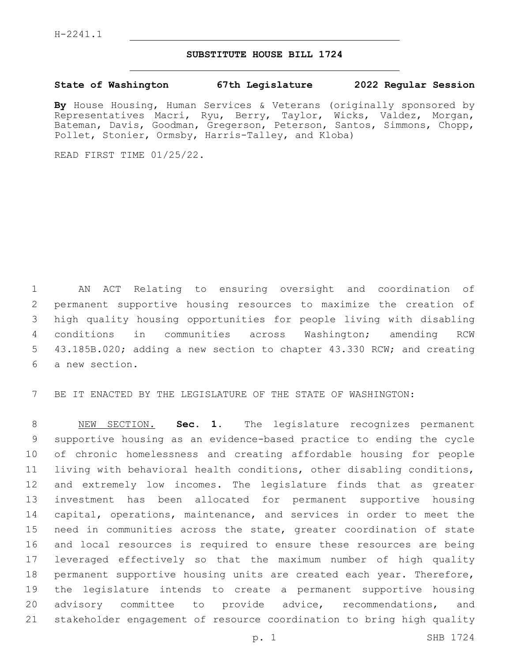## **SUBSTITUTE HOUSE BILL 1724**

## **State of Washington 67th Legislature 2022 Regular Session**

**By** House Housing, Human Services & Veterans (originally sponsored by Representatives Macri, Ryu, Berry, Taylor, Wicks, Valdez, Morgan, Bateman, Davis, Goodman, Gregerson, Peterson, Santos, Simmons, Chopp, Pollet, Stonier, Ormsby, Harris-Talley, and Kloba)

READ FIRST TIME 01/25/22.

 AN ACT Relating to ensuring oversight and coordination of permanent supportive housing resources to maximize the creation of high quality housing opportunities for people living with disabling conditions in communities across Washington; amending RCW 43.185B.020; adding a new section to chapter 43.330 RCW; and creating 6 a new section.

BE IT ENACTED BY THE LEGISLATURE OF THE STATE OF WASHINGTON:

 NEW SECTION. **Sec. 1.** The legislature recognizes permanent supportive housing as an evidence-based practice to ending the cycle of chronic homelessness and creating affordable housing for people living with behavioral health conditions, other disabling conditions, and extremely low incomes. The legislature finds that as greater investment has been allocated for permanent supportive housing capital, operations, maintenance, and services in order to meet the need in communities across the state, greater coordination of state and local resources is required to ensure these resources are being leveraged effectively so that the maximum number of high quality permanent supportive housing units are created each year. Therefore, the legislature intends to create a permanent supportive housing advisory committee to provide advice, recommendations, and stakeholder engagement of resource coordination to bring high quality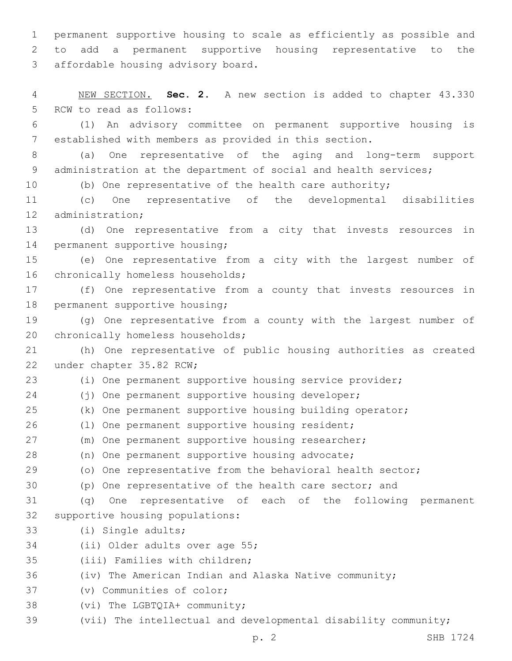1 permanent supportive housing to scale as efficiently as possible and 2 to add a permanent supportive housing representative to the 3 affordable housing advisory board.

4 NEW SECTION. **Sec. 2.** A new section is added to chapter 43.330 5 RCW to read as follows:

6 (1) An advisory committee on permanent supportive housing is 7 established with members as provided in this section.

8 (a) One representative of the aging and long-term support 9 administration at the department of social and health services;

10 (b) One representative of the health care authority;

11 (c) One representative of the developmental disabilities 12 administration;

13 (d) One representative from a city that invests resources in 14 permanent supportive housing;

15 (e) One representative from a city with the largest number of 16 chronically homeless households;

17 (f) One representative from a county that invests resources in 18 permanent supportive housing;

19 (g) One representative from a county with the largest number of 20 chronically homeless households;

21 (h) One representative of public housing authorities as created 22 under chapter 35.82 RCW;

23 (i) One permanent supportive housing service provider;

24 (j) One permanent supportive housing developer;

25 (k) One permanent supportive housing building operator;

26 (1) One permanent supportive housing resident;

27 (m) One permanent supportive housing researcher;

28 (n) One permanent supportive housing advocate;

29 (o) One representative from the behavioral health sector;

30 (p) One representative of the health care sector; and

31 (q) One representative of each of the following permanent 32 supportive housing populations:

33 (i) Single adults;

34 (ii) Older adults over age 55;

35 (iii) Families with children;

36 (iv) The American Indian and Alaska Native community;

37 (v) Communities of color;

38 (vi) The LGBTQIA+ community;

39 (vii) The intellectual and developmental disability community;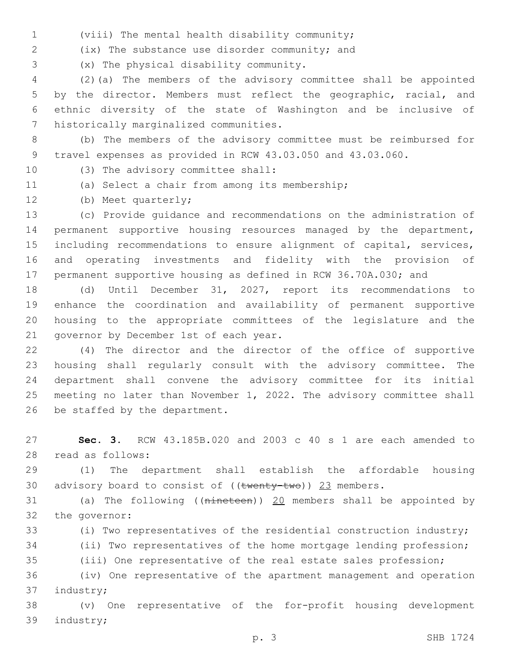(viii) The mental health disability community;1

(ix) The substance use disorder community; and2

(x) The physical disability community.3

 (2)(a) The members of the advisory committee shall be appointed by the director. Members must reflect the geographic, racial, and ethnic diversity of the state of Washington and be inclusive of 7 historically marginalized communities.

- (b) The members of the advisory committee must be reimbursed for travel expenses as provided in RCW 43.03.050 and 43.03.060.
- 
- 10 (3) The advisory committee shall:
- 
- 11 (a) Select a chair from among its membership;
- 12 (b) Meet quarterly;

 (c) Provide guidance and recommendations on the administration of permanent supportive housing resources managed by the department, including recommendations to ensure alignment of capital, services, and operating investments and fidelity with the provision of permanent supportive housing as defined in RCW 36.70A.030; and

 (d) Until December 31, 2027, report its recommendations to enhance the coordination and availability of permanent supportive housing to the appropriate committees of the legislature and the 21 governor by December 1st of each year.

 (4) The director and the director of the office of supportive housing shall regularly consult with the advisory committee. The department shall convene the advisory committee for its initial meeting no later than November 1, 2022. The advisory committee shall 26 be staffed by the department.

 **Sec. 3.** RCW 43.185B.020 and 2003 c 40 s 1 are each amended to 28 read as follows:

 (1) The department shall establish the affordable housing 30 advisory board to consist of  $((\text{twenty-two}))$  23 members.

 (a) The following ((nineteen)) 20 members shall be appointed by 32 the governor:

(i) Two representatives of the residential construction industry;

(ii) Two representatives of the home mortgage lending profession;

(iii) One representative of the real estate sales profession;

 (iv) One representative of the apartment management and operation 37 industry;

 (v) One representative of the for-profit housing development 39 industry;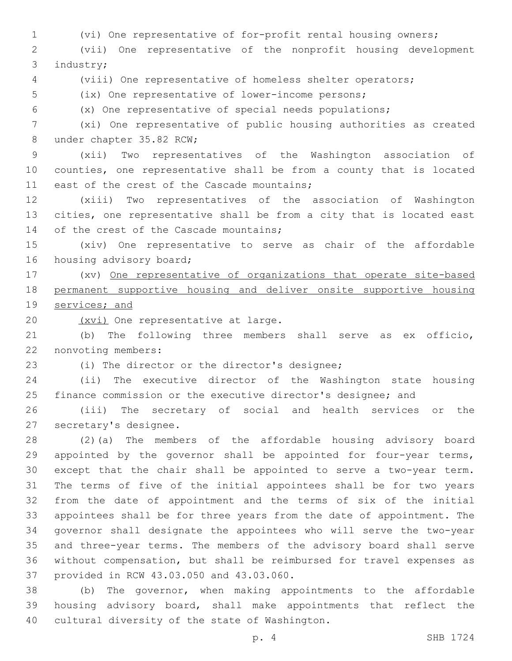(vi) One representative of for-profit rental housing owners;

 (vii) One representative of the nonprofit housing development 3 industry;

(viii) One representative of homeless shelter operators;

(ix) One representative of lower-income persons;

(x) One representative of special needs populations;

 (xi) One representative of public housing authorities as created 8 under chapter 35.82 RCW;

 (xii) Two representatives of the Washington association of counties, one representative shall be from a county that is located 11 east of the crest of the Cascade mountains;

 (xiii) Two representatives of the association of Washington cities, one representative shall be from a city that is located east 14 of the crest of the Cascade mountains;

 (xiv) One representative to serve as chair of the affordable 16 housing advisory board;

 (xv) One representative of organizations that operate site-based permanent supportive housing and deliver onsite supportive housing services; and

20 (xvi) One representative at large.

 (b) The following three members shall serve as ex officio, 22 nonvoting members:

23 (i) The director or the director's designee;

 (ii) The executive director of the Washington state housing finance commission or the executive director's designee; and

 (iii) The secretary of social and health services or the 27 secretary's designee.

 (2)(a) The members of the affordable housing advisory board appointed by the governor shall be appointed for four-year terms, except that the chair shall be appointed to serve a two-year term. The terms of five of the initial appointees shall be for two years from the date of appointment and the terms of six of the initial appointees shall be for three years from the date of appointment. The governor shall designate the appointees who will serve the two-year and three-year terms. The members of the advisory board shall serve without compensation, but shall be reimbursed for travel expenses as 37 provided in RCW 43.03.050 and 43.03.060.

 (b) The governor, when making appointments to the affordable housing advisory board, shall make appointments that reflect the 40 cultural diversity of the state of Washington.